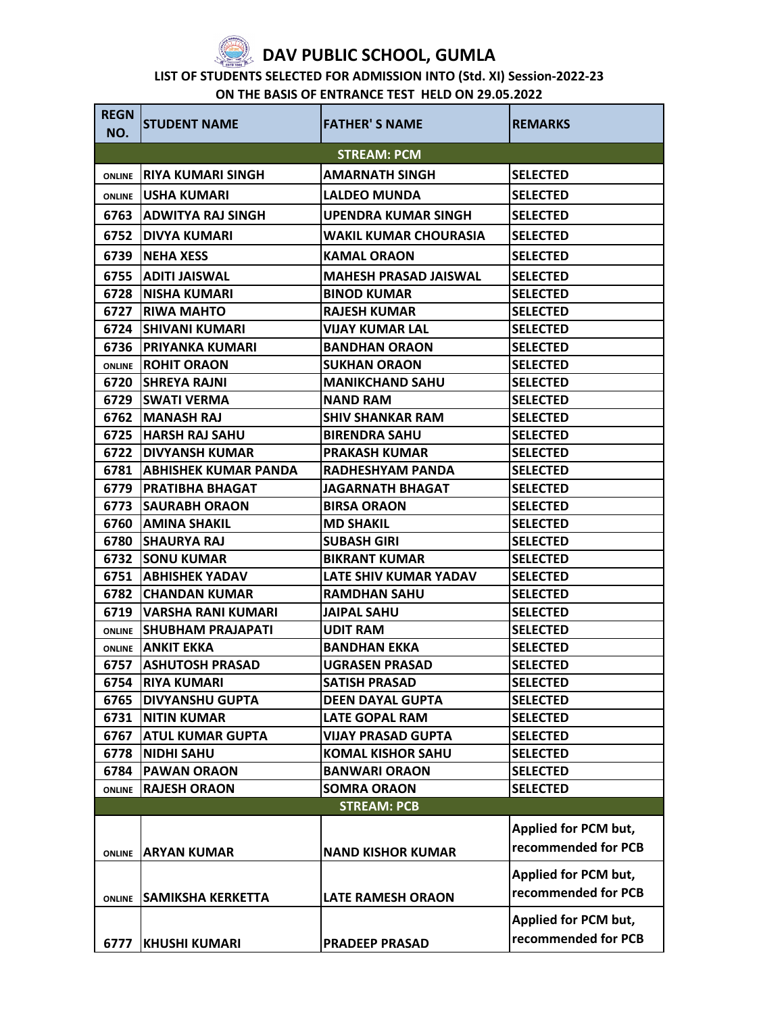

## **DAV PUBLIC SCHOOL, GUMLA**

## **LIST OF STUDENTS SELECTED FOR ADMISSION INTO (Std. XI) Session-2022-23**

| ON THE BASIS OF ENTRANCE TEST HELD ON 29.05.2022 |  |
|--------------------------------------------------|--|
|--------------------------------------------------|--|

| <b>REGN</b><br>NO. | <b>STUDENT NAME</b>          | <b>FATHER'S NAME</b>         | <b>REMARKS</b>       |
|--------------------|------------------------------|------------------------------|----------------------|
|                    |                              | <b>STREAM: PCM</b>           |                      |
| <b>ONLINE</b>      | <b>RIYA KUMARI SINGH</b>     | <b>AMARNATH SINGH</b>        | <b>SELECTED</b>      |
| <b>ONLINE</b>      | <b>JUSHA KUMARI</b>          | <b>LALDEO MUNDA</b>          | <b>SELECTED</b>      |
| 6763               | IADWITYA RAJ SINGH           | <b>UPENDRA KUMAR SINGH</b>   | <b>SELECTED</b>      |
| 6752               | IDIVYA KUMARI                | WAKIL KUMAR CHOURASIA        | <b>SELECTED</b>      |
| 6739               | INEHA XESS                   | <b>KAMAL ORAON</b>           | <b>SELECTED</b>      |
| 6755               | <b>ADITI JAISWAL</b>         | <b>MAHESH PRASAD JAISWAL</b> | <b>SELECTED</b>      |
| 6728               | <b>INISHA KUMARI</b>         | <b>BINOD KUMAR</b>           | <b>SELECTED</b>      |
| 6727               | <b>IRIWA MAHTO</b>           | <b>RAJESH KUMAR</b>          | <b>SELECTED</b>      |
| 6724               | <b>ISHIVANI KUMARI</b>       | <b>VIJAY KUMAR LAL</b>       | <b>SELECTED</b>      |
| 6736               | <b>IPRIYANKA KUMARI</b>      | <b>BANDHAN ORAON</b>         | <b>SELECTED</b>      |
| <b>ONLINE</b>      | <b>IROHIT ORAON</b>          | <b>SUKHAN ORAON</b>          | <b>SELECTED</b>      |
|                    | 6720 SHREYA RAJNI            | <b>MANIKCHAND SAHU</b>       | <b>SELECTED</b>      |
| 6729               | <b>ISWATI VERMA</b>          | <b>NAND RAM</b>              | <b>SELECTED</b>      |
| 6762               | <b>IMANASH RAJ</b>           | <b>SHIV SHANKAR RAM</b>      | <b>SELECTED</b>      |
| 6725               | <b>HARSH RAJ SAHU</b>        | <b>BIRENDRA SAHU</b>         | <b>SELECTED</b>      |
| 6722               | IDIVYANSH KUMAR              | <b>PRAKASH KUMAR</b>         | <b>SELECTED</b>      |
| 6781               | <b>JABHISHEK KUMAR PANDA</b> | <b>RADHESHYAM PANDA</b>      | <b>SELECTED</b>      |
| 6779               | <b>IPRATIBHA BHAGAT</b>      | <b>JAGARNATH BHAGAT</b>      | <b>SELECTED</b>      |
| 6773               | <b>ISAURABH ORAON</b>        | <b>BIRSA ORAON</b>           | <b>SELECTED</b>      |
| 6760               | <b>JAMINA SHAKIL</b>         | <b>MD SHAKIL</b>             | <b>SELECTED</b>      |
| 6780               | <b>ISHAURYA RAJ</b>          | <b>SUBASH GIRI</b>           | <b>SELECTED</b>      |
| 6732               | <b>SONU KUMAR</b>            | <b>BIKRANT KUMAR</b>         | <b>SELECTED</b>      |
| 6751               | <b>JABHISHEK YADAV</b>       | LATE SHIV KUMAR YADAV        | <b>SELECTED</b>      |
| 6782               | ICHANDAN KUMAR               | <b>RAMDHAN SAHU</b>          | <b>SELECTED</b>      |
| 6719               | <b>VARSHA RANI KUMARI</b>    | <b>JAIPAL SAHU</b>           | <b>SELECTED</b>      |
| <b>ONLINE</b>      | ISHUBHAM PRAJAPATI           | <b>UDIT RAM</b>              | <b>SELECTED</b>      |
|                    | <b>ONLINE ANKIT EKKA</b>     | <b>BANDHAN EKKA</b>          | <b>SELECTED</b>      |
| 6757               | <b>ASHUTOSH PRASAD</b>       | <b>UGRASEN PRASAD</b>        | <b>SELECTED</b>      |
| 6754               | <b>RIYA KUMARI</b>           | <b>SATISH PRASAD</b>         | <b>SELECTED</b>      |
|                    | <b>6765 DIVYANSHU GUPTA</b>  | <b>DEEN DAYAL GUPTA</b>      | <b>SELECTED</b>      |
| 6731               | <b>NITIN KUMAR</b>           | <b>LATE GOPAL RAM</b>        | <b>SELECTED</b>      |
| 6767               | <b>ATUL KUMAR GUPTA</b>      | <b>VIJAY PRASAD GUPTA</b>    | <b>SELECTED</b>      |
| 6778               | <b>NIDHI SAHU</b>            | <b>KOMAL KISHOR SAHU</b>     | <b>SELECTED</b>      |
| 6784               | <b>PAWAN ORAON</b>           | <b>BANWARI ORAON</b>         | <b>SELECTED</b>      |
| <b>ONLINE</b>      | <b>RAJESH ORAON</b>          | <b>SOMRA ORAON</b>           | <b>SELECTED</b>      |
|                    |                              | <b>STREAM: PCB</b>           |                      |
|                    |                              |                              | Applied for PCM but, |
|                    | <b>ONLINE ARYAN KUMAR</b>    | <b>NAND KISHOR KUMAR</b>     | recommended for PCB  |
|                    |                              |                              | Applied for PCM but, |
| <b>ONLINE</b>      | <b>SAMIKSHA KERKETTA</b>     | <b>LATE RAMESH ORAON</b>     | recommended for PCB  |
|                    |                              |                              |                      |
|                    |                              |                              | Applied for PCM but, |
|                    | 6777   KHUSHI KUMARI         | <b>PRADEEP PRASAD</b>        | recommended for PCB  |